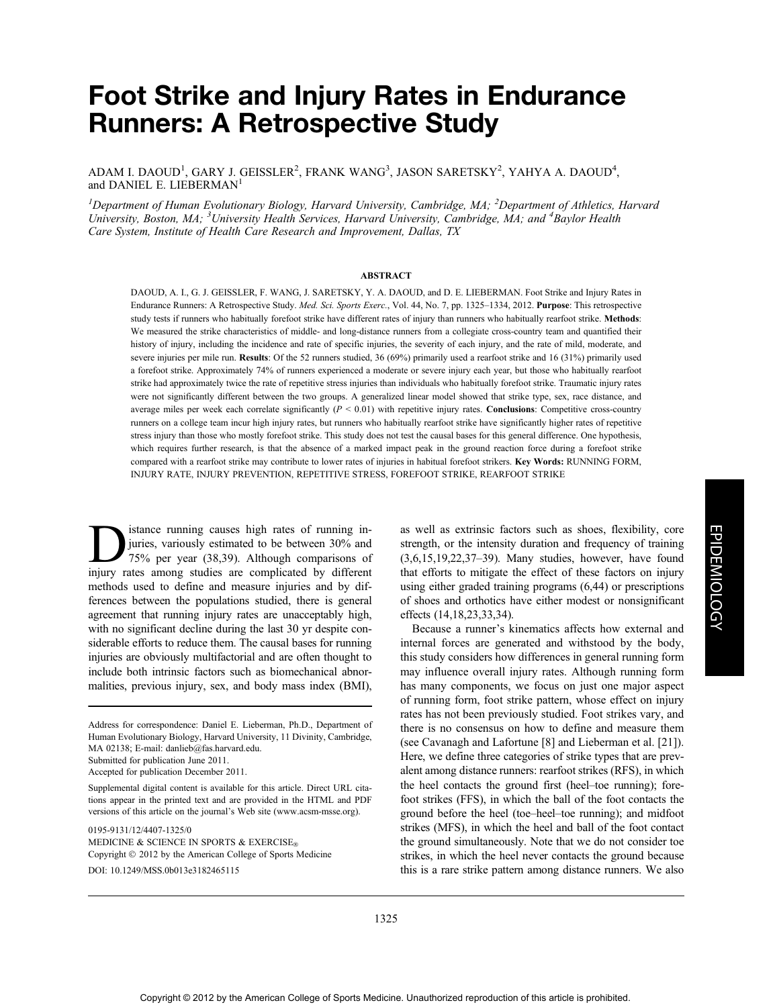# Foot Strike and Injury Rates in Endurance Runners: A Retrospective Study

ADAM I. DAOUD<sup>1</sup>, GARY J. GEISSLER<sup>2</sup>, FRANK WANG<sup>3</sup>, JASON SARETSKY<sup>2</sup>, YAHYA A. DAOUD<sup>4</sup>, and DANIEL E. LIEBERMAN<sup>1</sup>

<sup>1</sup>Department of Human Evolutionary Biology, Harvard University, Cambridge, MA; <sup>2</sup>Department of Athletics, Harvard University, Boston, MA; <sup>3</sup>University Health Services, Harvard University, Cambridge, MA; and <sup>4</sup>Baylor Health Care System, Institute of Health Care Research and Improvement, Dallas, TX

### ABSTRACT

DAOUD, A. I., G. J. GEISSLER, F. WANG, J. SARETSKY, Y. A. DAOUD, and D. E. LIEBERMAN. Foot Strike and Injury Rates in Endurance Runners: A Retrospective Study. Med. Sci. Sports Exerc., Vol. 44, No. 7, pp. 1325–1334, 2012. Purpose: This retrospective study tests if runners who habitually forefoot strike have different rates of injury than runners who habitually rearfoot strike. Methods: We measured the strike characteristics of middle- and long-distance runners from a collegiate cross-country team and quantified their history of injury, including the incidence and rate of specific injuries, the severity of each injury, and the rate of mild, moderate, and severe injuries per mile run. Results: Of the 52 runners studied, 36 (69%) primarily used a rearfoot strike and 16 (31%) primarily used a forefoot strike. Approximately 74% of runners experienced a moderate or severe injury each year, but those who habitually rearfoot strike had approximately twice the rate of repetitive stress injuries than individuals who habitually forefoot strike. Traumatic injury rates were not significantly different between the two groups. A generalized linear model showed that strike type, sex, race distance, and average miles per week each correlate significantly  $(P < 0.01)$  with repetitive injury rates. **Conclusions**: Competitive cross-country runners on a college team incur high injury rates, but runners who habitually rearfoot strike have significantly higher rates of repetitive stress injury than those who mostly forefoot strike. This study does not test the causal bases for this general difference. One hypothesis, which requires further research, is that the absence of a marked impact peak in the ground reaction force during a forefoot strike compared with a rearfoot strike may contribute to lower rates of injuries in habitual forefoot strikers. Key Words: RUNNING FORM, INJURY RATE, INJURY PREVENTION, REPETITIVE STRESS, FOREFOOT STRIKE, REARFOOT STRIKE

istance running causes high rates of running in-<br>juries, variously estimated to be between 30% and<br>75% per year (38,39). Although comparisons of juries, variously estimated to be between 30% and 75% per year (38,39). Although comparisons of injury rates among studies are complicated by different methods used to define and measure injuries and by differences between the populations studied, there is general agreement that running injury rates are unacceptably high, with no significant decline during the last 30 yr despite considerable efforts to reduce them. The causal bases for running injuries are obviously multifactorial and are often thought to include both intrinsic factors such as biomechanical abnormalities, previous injury, sex, and body mass index (BMI),

0195-9131/12/4407-1325/0

MEDICINE & SCIENCE IN SPORTS & EXERCISE<sup>®</sup> Copyright  $@$  2012 by the American College of Sports Medicine DOI: 10.1249/MSS.0b013e3182465115

as well as extrinsic factors such as shoes, flexibility, core strength, or the intensity duration and frequency of training (3,6,15,19,22,37–39). Many studies, however, have found that efforts to mitigate the effect of these factors on injury using either graded training programs (6,44) or prescriptions of shoes and orthotics have either modest or nonsignificant effects (14,18,23,33,34).

Because a runner's kinematics affects how external and internal forces are generated and withstood by the body, this study considers how differences in general running form may influence overall injury rates. Although running form has many components, we focus on just one major aspect of running form, foot strike pattern, whose effect on injury rates has not been previously studied. Foot strikes vary, and there is no consensus on how to define and measure them (see Cavanagh and Lafortune [8] and Lieberman et al. [21]). Here, we define three categories of strike types that are prevalent among distance runners: rearfoot strikes (RFS), in which the heel contacts the ground first (heel–toe running); forefoot strikes (FFS), in which the ball of the foot contacts the ground before the heel (toe–heel–toe running); and midfoot strikes (MFS), in which the heel and ball of the foot contact the ground simultaneously. Note that we do not consider toe strikes, in which the heel never contacts the ground because this is a rare strike pattern among distance runners. We also

Address for correspondence: Daniel E. Lieberman, Ph.D., Department of Human Evolutionary Biology, Harvard University, 11 Divinity, Cambridge, MA 02138; E-mail: danlieb@fas.harvard.edu.

Submitted for publication June 2011.

Accepted for publication December 2011.

Supplemental digital content is available for this article. Direct URL citations appear in the printed text and are provided in the HTML and PDF versions of this article on the journal's Web site (www.acsm-msse.org).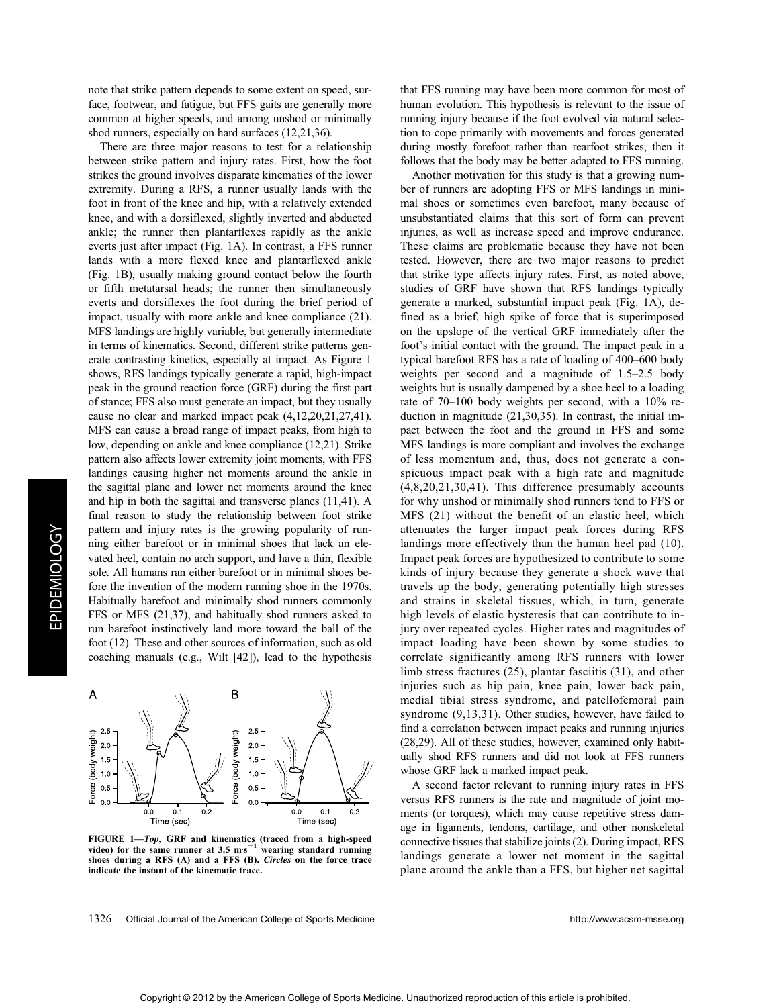note that strike pattern depends to some extent on speed, surface, footwear, and fatigue, but FFS gaits are generally more common at higher speeds, and among unshod or minimally shod runners, especially on hard surfaces (12,21,36).

There are three major reasons to test for a relationship between strike pattern and injury rates. First, how the foot strikes the ground involves disparate kinematics of the lower extremity. During a RFS, a runner usually lands with the foot in front of the knee and hip, with a relatively extended knee, and with a dorsiflexed, slightly inverted and abducted ankle; the runner then plantarflexes rapidly as the ankle everts just after impact (Fig. 1A). In contrast, a FFS runner lands with a more flexed knee and plantarflexed ankle (Fig. 1B), usually making ground contact below the fourth or fifth metatarsal heads; the runner then simultaneously everts and dorsiflexes the foot during the brief period of impact, usually with more ankle and knee compliance (21). MFS landings are highly variable, but generally intermediate in terms of kinematics. Second, different strike patterns generate contrasting kinetics, especially at impact. As Figure 1 shows, RFS landings typically generate a rapid, high-impact peak in the ground reaction force (GRF) during the first part of stance; FFS also must generate an impact, but they usually cause no clear and marked impact peak (4,12,20,21,27,41). MFS can cause a broad range of impact peaks, from high to low, depending on ankle and knee compliance (12,21). Strike pattern also affects lower extremity joint moments, with FFS landings causing higher net moments around the ankle in the sagittal plane and lower net moments around the knee and hip in both the sagittal and transverse planes (11,41). A final reason to study the relationship between foot strike pattern and injury rates is the growing popularity of running either barefoot or in minimal shoes that lack an elevated heel, contain no arch support, and have a thin, flexible sole. All humans ran either barefoot or in minimal shoes before the invention of the modern running shoe in the 1970s. Habitually barefoot and minimally shod runners commonly FFS or MFS (21,37), and habitually shod runners asked to run barefoot instinctively land more toward the ball of the foot (12). These and other sources of information, such as old coaching manuals (e.g., Wilt [42]), lead to the hypothesis



FIGURE 1—Top, GRF and kinematics (traced from a high-speed video) for the same runner at  $3.5 \text{ m}\text{s}^{-1}$ wearing standard running shoes during a RFS (A) and a FFS (B). Circles on the force trace indicate the instant of the kinematic trace.

that FFS running may have been more common for most of human evolution. This hypothesis is relevant to the issue of running injury because if the foot evolved via natural selection to cope primarily with movements and forces generated during mostly forefoot rather than rearfoot strikes, then it follows that the body may be better adapted to FFS running.

Another motivation for this study is that a growing number of runners are adopting FFS or MFS landings in minimal shoes or sometimes even barefoot, many because of unsubstantiated claims that this sort of form can prevent injuries, as well as increase speed and improve endurance. These claims are problematic because they have not been tested. However, there are two major reasons to predict that strike type affects injury rates. First, as noted above, studies of GRF have shown that RFS landings typically generate a marked, substantial impact peak (Fig. 1A), defined as a brief, high spike of force that is superimposed on the upslope of the vertical GRF immediately after the foot's initial contact with the ground. The impact peak in a typical barefoot RFS has a rate of loading of 400–600 body weights per second and a magnitude of 1.5–2.5 body weights but is usually dampened by a shoe heel to a loading rate of 70–100 body weights per second, with a 10% reduction in magnitude (21,30,35). In contrast, the initial impact between the foot and the ground in FFS and some MFS landings is more compliant and involves the exchange of less momentum and, thus, does not generate a conspicuous impact peak with a high rate and magnitude (4,8,20,21,30,41). This difference presumably accounts for why unshod or minimally shod runners tend to FFS or MFS (21) without the benefit of an elastic heel, which attenuates the larger impact peak forces during RFS landings more effectively than the human heel pad (10). Impact peak forces are hypothesized to contribute to some kinds of injury because they generate a shock wave that travels up the body, generating potentially high stresses and strains in skeletal tissues, which, in turn, generate high levels of elastic hysteresis that can contribute to injury over repeated cycles. Higher rates and magnitudes of impact loading have been shown by some studies to correlate significantly among RFS runners with lower limb stress fractures (25), plantar fasciitis (31), and other injuries such as hip pain, knee pain, lower back pain, medial tibial stress syndrome, and patellofemoral pain syndrome  $(9,13,31)$ . Other studies, however, have failed to find a correlation between impact peaks and running injuries (28,29). All of these studies, however, examined only habitually shod RFS runners and did not look at FFS runners whose GRF lack a marked impact peak.

A second factor relevant to running injury rates in FFS versus RFS runners is the rate and magnitude of joint moments (or torques), which may cause repetitive stress damage in ligaments, tendons, cartilage, and other nonskeletal connective tissues that stabilize joints (2). During impact, RFS landings generate a lower net moment in the sagittal plane around the ankle than a FFS, but higher net sagittal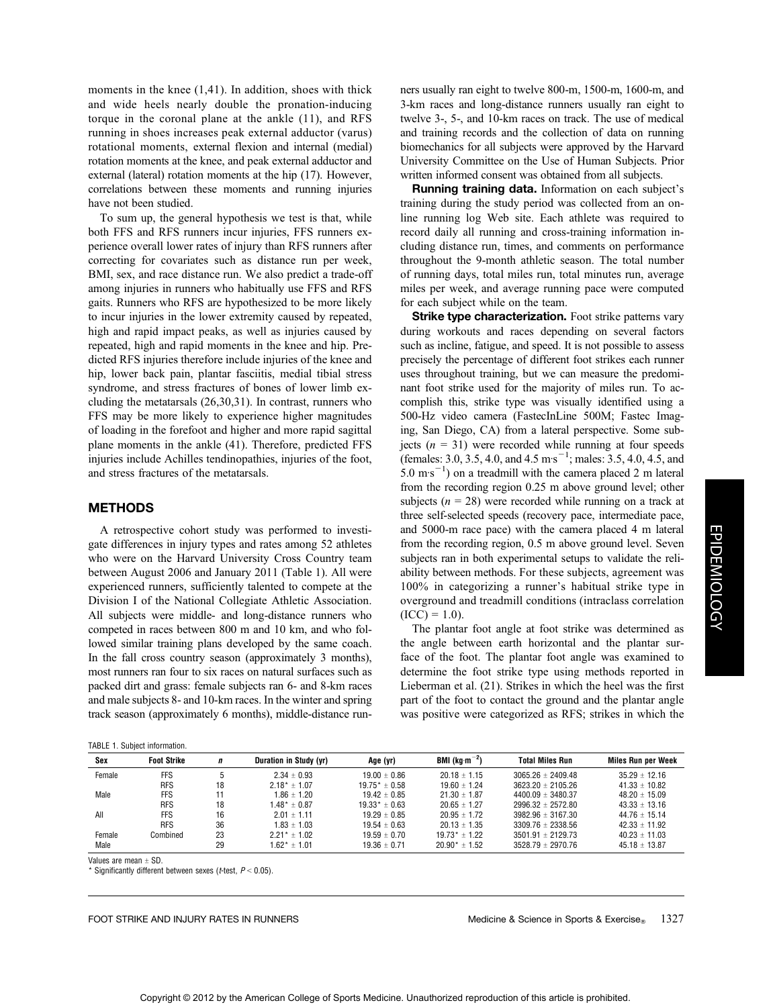moments in the knee  $(1,41)$ . In addition, shoes with thick and wide heels nearly double the pronation-inducing torque in the coronal plane at the ankle (11), and RFS running in shoes increases peak external adductor (varus) rotational moments, external flexion and internal (medial) rotation moments at the knee, and peak external adductor and external (lateral) rotation moments at the hip (17). However, correlations between these moments and running injuries have not been studied.

To sum up, the general hypothesis we test is that, while both FFS and RFS runners incur injuries, FFS runners experience overall lower rates of injury than RFS runners after correcting for covariates such as distance run per week, BMI, sex, and race distance run. We also predict a trade-off among injuries in runners who habitually use FFS and RFS gaits. Runners who RFS are hypothesized to be more likely to incur injuries in the lower extremity caused by repeated, high and rapid impact peaks, as well as injuries caused by repeated, high and rapid moments in the knee and hip. Predicted RFS injuries therefore include injuries of the knee and hip, lower back pain, plantar fasciitis, medial tibial stress syndrome, and stress fractures of bones of lower limb excluding the metatarsals (26,30,31). In contrast, runners who FFS may be more likely to experience higher magnitudes of loading in the forefoot and higher and more rapid sagittal plane moments in the ankle (41). Therefore, predicted FFS injuries include Achilles tendinopathies, injuries of the foot, and stress fractures of the metatarsals.

## METHODS

A retrospective cohort study was performed to investigate differences in injury types and rates among 52 athletes who were on the Harvard University Cross Country team between August 2006 and January 2011 (Table 1). All were experienced runners, sufficiently talented to compete at the Division I of the National Collegiate Athletic Association. All subjects were middle- and long-distance runners who competed in races between 800 m and 10 km, and who followed similar training plans developed by the same coach. In the fall cross country season (approximately 3 months), most runners ran four to six races on natural surfaces such as packed dirt and grass: female subjects ran 6- and 8-km races and male subjects 8- and 10-km races. In the winter and spring track season (approximately 6 months), middle-distance run-

| ners usually ran eight to twelve 800-m, 1500-m, 1600-m, and     |
|-----------------------------------------------------------------|
| 3-km races and long-distance runners usually ran eight to       |
| twelve 3-, 5-, and 10-km races on track. The use of medical     |
| and training records and the collection of data on running      |
| biomechanics for all subjects were approved by the Harvard      |
| University Committee on the Use of Human Subjects. Prior        |
| written informed consent was obtained from all subjects.        |
| Duppelpe tusining data Information on solutional $\mathbb{R}^2$ |

**Running training data.** Information on each subject's training during the study period was collected from an online running log Web site. Each athlete was required to record daily all running and cross-training information including distance run, times, and comments on performance throughout the 9-month athletic season. The total number of running days, total miles run, total minutes run, average miles per week, and average running pace were computed for each subject while on the team.

Strike type characterization. Foot strike patterns vary during workouts and races depending on several factors such as incline, fatigue, and speed. It is not possible to assess precisely the percentage of different foot strikes each runner uses throughout training, but we can measure the predominant foot strike used for the majority of miles run. To accomplish this, strike type was visually identified using a 500-Hz video camera (FastecInLine 500M; Fastec Imaging, San Diego, CA) from a lateral perspective. Some subjects ( $n = 31$ ) were recorded while running at four speeds (females: 3.0, 3.5, 4.0, and 4.5 m s<sup>-1</sup>; males: 3.5, 4.0, 4.5, and  $5.0 \text{ m}\text{s}^{-1}$ ) on a treadmill with the camera placed 2 m lateral from the recording region 0.25 m above ground level; other subjects ( $n = 28$ ) were recorded while running on a track at three self-selected speeds (recovery pace, intermediate pace, and 5000-m race pace) with the camera placed 4 m lateral from the recording region, 0.5 m above ground level. Seven subjects ran in both experimental setups to validate the reliability between methods. For these subjects, agreement was 100% in categorizing a runner's habitual strike type in overground and treadmill conditions (intraclass correlation  $(ICC) = 1.0$ ).

The plantar foot angle at foot strike was determined as the angle between earth horizontal and the plantar surface of the foot. The plantar foot angle was examined to determine the foot strike type using methods reported in Lieberman et al. (21). Strikes in which the heel was the first part of the foot to contact the ground and the plantar angle was positive were categorized as RFS; strikes in which the

| Sex    | <b>Foot Strike</b> | n  | Duration in Study (yr) | Age (yr)           | BMI (kg $\cdot$ m $^{-2}$ ) | <b>Total Miles Run</b> | <b>Miles Run per Week</b> |
|--------|--------------------|----|------------------------|--------------------|-----------------------------|------------------------|---------------------------|
| Female | FFS                | 5  | $2.34 \pm 0.93$        | $19.00 \pm 0.86$   | $20.18 \pm 1.15$            | $3065.26 \pm 2409.48$  | $35.29 \pm 12.16$         |
|        | <b>RFS</b>         | 18 | $2.18^* \pm 1.07$      | $19.75^* \pm 0.58$ | $19.60 \pm 1.24$            | $3623.20 \pm 2105.26$  | $41.33 \pm 10.82$         |
| Male   | <b>FFS</b>         | 11 | $1.86 \pm 1.20$        | $19.42 \pm 0.85$   | $21.30 \pm 1.87$            | $4400.09 \pm 3480.37$  | $48.20 \pm 15.09$         |
|        | <b>RFS</b>         | 18 | $1.48^* \pm 0.87$      | $19.33* \pm 0.63$  | $20.65 \pm 1.27$            | $2996.32 \pm 2572.80$  | $43.33 \pm 13.16$         |
| All    | <b>FFS</b>         | 16 | $2.01 \pm 1.11$        | $19.29 \pm 0.85$   | $20.95 \pm 1.72$            | $3982.96 \pm 3167.30$  | $44.76 \pm 15.14$         |
|        | <b>RFS</b>         | 36 | $1.83 \pm 1.03$        | $19.54 \pm 0.63$   | $20.13 \pm 1.35$            | $3309.76 \pm 2338.56$  | $42.33 \pm 11.92$         |
| Female | Combined           | 23 | $2.21^* \pm 1.02$      | $19.59 \pm 0.70$   | $19.73* + 1.22$             | $3501.91 \pm 2129.73$  | $40.23 \pm 11.03$         |
| Male   |                    | 29 | $1.62^* \pm 1.01$      | $19.36 \pm 0.71$   | $20.90* \pm 1.52$           | $3528.79 \pm 2970.76$  | $45.18 \pm 13.87$         |

Values are mean  $+$  SD.

Significantly different between sexes (*t*-test,  $P < 0.05$ ).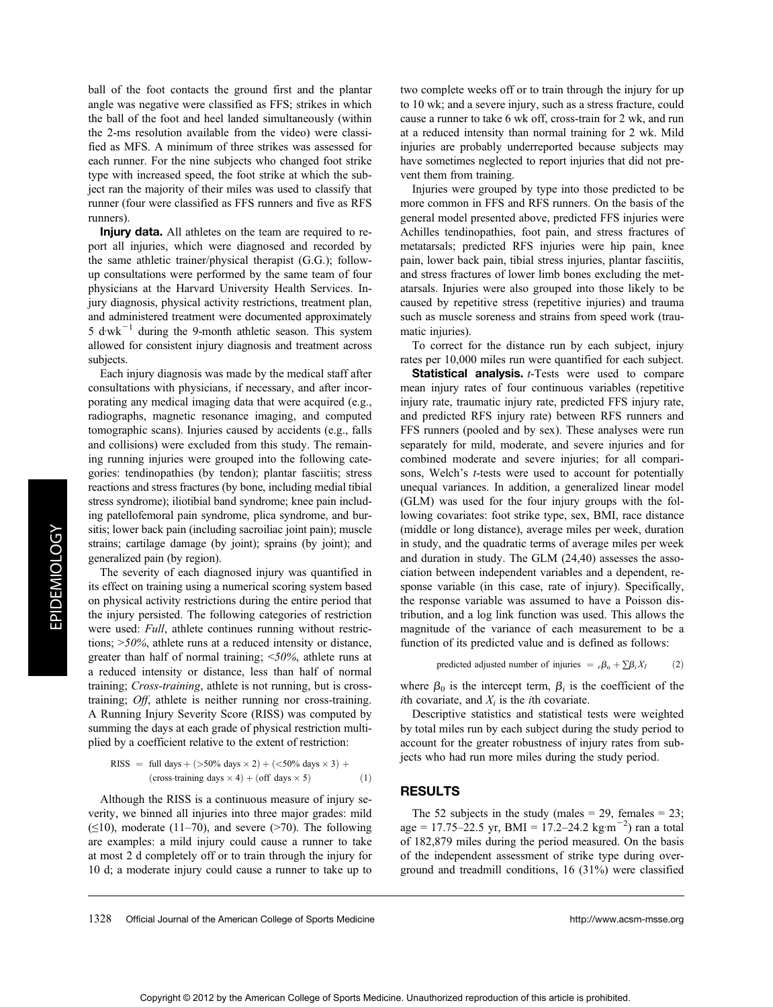ball of the foot contacts the ground first and the plantar angle was negative were classified as FFS; strikes in which the ball of the foot and heel landed simultaneously (within the 2-ms resolution available from the video) were classified as MFS. A minimum of three strikes was assessed for each runner. For the nine subjects who changed foot strike type with increased speed, the foot strike at which the subject ran the majority of their miles was used to classify that runner (four were classified as FFS runners and five as RFS runners).

Injury data. All athletes on the team are required to report all injuries, which were diagnosed and recorded by the same athletic trainer/physical therapist (G.G.); followup consultations were performed by the same team of four physicians at the Harvard University Health Services. Injury diagnosis, physical activity restrictions, treatment plan, and administered treatment were documented approximately 5 d $wk^{-1}$  during the 9-month athletic season. This system allowed for consistent injury diagnosis and treatment across subjects.

Each injury diagnosis was made by the medical staff after consultations with physicians, if necessary, and after incorporating any medical imaging data that were acquired (e.g., radiographs, magnetic resonance imaging, and computed tomographic scans). Injuries caused by accidents (e.g., falls and collisions) were excluded from this study. The remaining running injuries were grouped into the following categories: tendinopathies (by tendon); plantar fasciitis; stress reactions and stress fractures (by bone, including medial tibial stress syndrome); iliotibial band syndrome; knee pain including patellofemoral pain syndrome, plica syndrome, and bursitis; lower back pain (including sacroiliac joint pain); muscle strains; cartilage damage (by joint); sprains (by joint); and generalized pain (by region).

The severity of each diagnosed injury was quantified in its effect on training using a numerical scoring system based on physical activity restrictions during the entire period that the injury persisted. The following categories of restriction were used: Full, athlete continues running without restrictions;  $>50\%$ , athlete runs at a reduced intensity or distance, greater than half of normal training;  $\langle 50\%,$  athlete runs at a reduced intensity or distance, less than half of normal training; Cross-training, athlete is not running, but is crosstraining; Off, athlete is neither running nor cross-training. A Running Injury Severity Score (RISS) was computed by summing the days at each grade of physical restriction multiplied by a coefficient relative to the extent of restriction:

RISS = full days + 
$$
(>50\%
$$
 days  $\times 2)$  +  $(<50\%$  days  $\times 3)$  +  
\n(cross-training days  $\times 4)$  + (off days  $\times 5)$  (1)

Although the RISS is a continuous measure of injury severity, we binned all injuries into three major grades: mild  $(\leq 10)$ , moderate (11–70), and severe (>70). The following are examples: a mild injury could cause a runner to take at most 2 d completely off or to train through the injury for 10 d; a moderate injury could cause a runner to take up to two complete weeks off or to train through the injury for up to 10 wk; and a severe injury, such as a stress fracture, could cause a runner to take 6 wk off, cross-train for 2 wk, and run at a reduced intensity than normal training for 2 wk. Mild injuries are probably underreported because subjects may have sometimes neglected to report injuries that did not prevent them from training.

Injuries were grouped by type into those predicted to be more common in FFS and RFS runners. On the basis of the general model presented above, predicted FFS injuries were Achilles tendinopathies, foot pain, and stress fractures of metatarsals; predicted RFS injuries were hip pain, knee pain, lower back pain, tibial stress injuries, plantar fasciitis, and stress fractures of lower limb bones excluding the metatarsals. Injuries were also grouped into those likely to be caused by repetitive stress (repetitive injuries) and trauma such as muscle soreness and strains from speed work (traumatic injuries).

To correct for the distance run by each subject, injury rates per 10,000 miles run were quantified for each subject.

Statistical analysis. *t*-Tests were used to compare mean injury rates of four continuous variables (repetitive injury rate, traumatic injury rate, predicted FFS injury rate, and predicted RFS injury rate) between RFS runners and FFS runners (pooled and by sex). These analyses were run separately for mild, moderate, and severe injuries and for combined moderate and severe injuries; for all comparisons, Welch's *t*-tests were used to account for potentially unequal variances. In addition, a generalized linear model (GLM) was used for the four injury groups with the following covariates: foot strike type, sex, BMI, race distance (middle or long distance), average miles per week, duration in study, and the quadratic terms of average miles per week and duration in study. The GLM (24,40) assesses the association between independent variables and a dependent, response variable (in this case, rate of injury). Specifically, the response variable was assumed to have a Poisson distribution, and a log link function was used. This allows the magnitude of the variance of each measurement to be a function of its predicted value and is defined as follows:

predicted adjusted number of injuries = 
$$
e\beta_0 + \sum \beta_i X_I
$$
 (2)

where  $\beta_0$  is the intercept term,  $\beta_i$  is the coefficient of the *i*th covariate, and  $X_i$  is the *i*th covariate.

Descriptive statistics and statistical tests were weighted by total miles run by each subject during the study period to account for the greater robustness of injury rates from subjects who had run more miles during the study period.

### RESULTS

The 52 subjects in the study (males  $= 29$ , females  $= 23$ ; age = 17.75–22.5 yr, BMI = 17.2–24.2 kg·m<sup>-2</sup>) ran a total of 182,879 miles during the period measured. On the basis of the independent assessment of strike type during overground and treadmill conditions, 16 (31%) were classified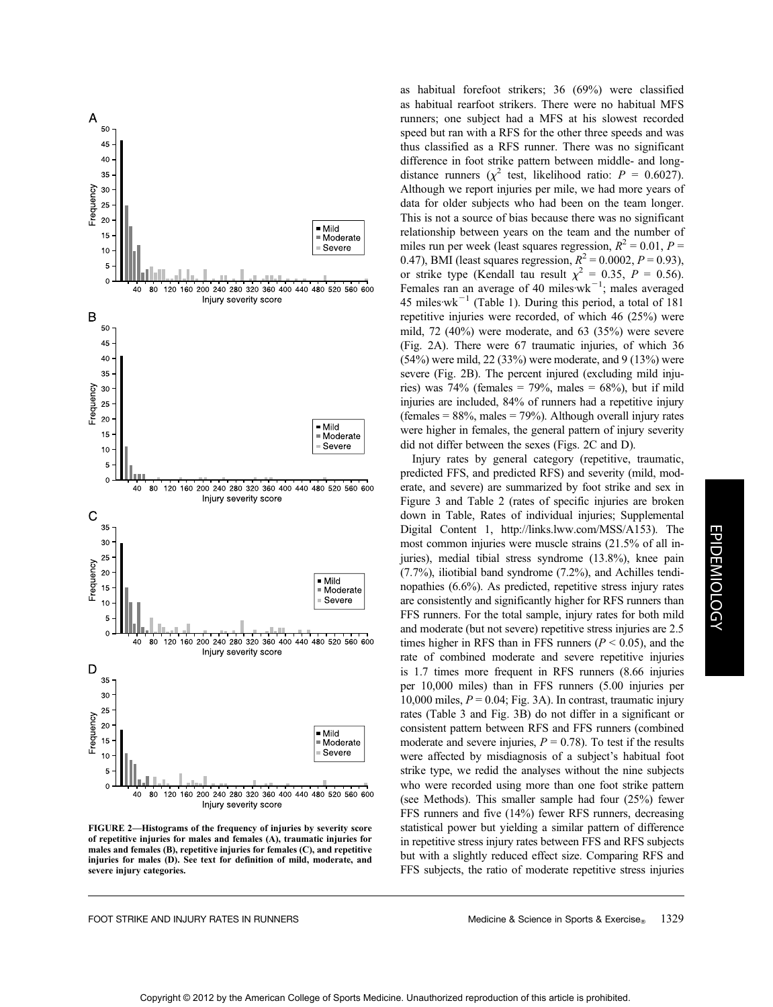

FIGURE 2—Histograms of the frequency of injuries by severity score of repetitive injuries for males and females (A), traumatic injuries for males and females (B), repetitive injuries for females (C), and repetitive injuries for males (D). See text for definition of mild, moderate, and severe injury categories.

as habitual forefoot strikers; 36 (69%) were classified as habitual rearfoot strikers. There were no habitual MFS runners; one subject had a MFS at his slowest recorded speed but ran with a RFS for the other three speeds and was thus classified as a RFS runner. There was no significant difference in foot strike pattern between middle- and longdistance runners ( $\chi^2$  test, likelihood ratio:  $P = 0.6027$ ). Although we report injuries per mile, we had more years of data for older subjects who had been on the team longer. This is not a source of bias because there was no significant relationship between years on the team and the number of miles run per week (least squares regression,  $R^2 = 0.01$ ,  $P =$ 0.47), BMI (least squares regression,  $R^2 = 0.0002$ ,  $P = 0.93$ ), or strike type (Kendall tau result  $\chi^2 = 0.35$ ,  $P = 0.56$ ). Females ran an average of 40 miles  $wk^{-1}$ ; males averaged 45 miles $wk^{-1}$  (Table 1). During this period, a total of 181 repetitive injuries were recorded, of which 46 (25%) were mild, 72 (40%) were moderate, and 63 (35%) were severe (Fig. 2A). There were 67 traumatic injuries, of which 36 (54%) were mild, 22 (33%) were moderate, and 9 (13%) were severe (Fig. 2B). The percent injured (excluding mild injuries) was  $74\%$  (females =  $79\%$ , males =  $68\%$ ), but if mild injuries are included, 84% of runners had a repetitive injury (females  $= 88\%$ , males  $= 79\%$ ). Although overall injury rates were higher in females, the general pattern of injury severity did not differ between the sexes (Figs. 2C and D).

Injury rates by general category (repetitive, traumatic, predicted FFS, and predicted RFS) and severity (mild, moderate, and severe) are summarized by foot strike and sex in Figure 3 and Table 2 (rates of specific injuries are broken down in Table, Rates of individual injuries; Supplemental Digital Content 1, http://links.lww.com/MSS/A153). The most common injuries were muscle strains (21.5% of all injuries), medial tibial stress syndrome (13.8%), knee pain (7.7%), iliotibial band syndrome (7.2%), and Achilles tendinopathies (6.6%). As predicted, repetitive stress injury rates are consistently and significantly higher for RFS runners than FFS runners. For the total sample, injury rates for both mild and moderate (but not severe) repetitive stress injuries are 2.5 times higher in RFS than in FFS runners ( $P < 0.05$ ), and the rate of combined moderate and severe repetitive injuries is 1.7 times more frequent in RFS runners (8.66 injuries per 10,000 miles) than in FFS runners (5.00 injuries per 10,000 miles,  $P = 0.04$ ; Fig. 3A). In contrast, traumatic injury rates (Table 3 and Fig. 3B) do not differ in a significant or consistent pattern between RFS and FFS runners (combined moderate and severe injuries,  $P = 0.78$ ). To test if the results were affected by misdiagnosis of a subject's habitual foot strike type, we redid the analyses without the nine subjects who were recorded using more than one foot strike pattern (see Methods). This smaller sample had four (25%) fewer FFS runners and five (14%) fewer RFS runners, decreasing statistical power but yielding a similar pattern of difference in repetitive stress injury rates between FFS and RFS subjects but with a slightly reduced effect size. Comparing RFS and FFS subjects, the ratio of moderate repetitive stress injuries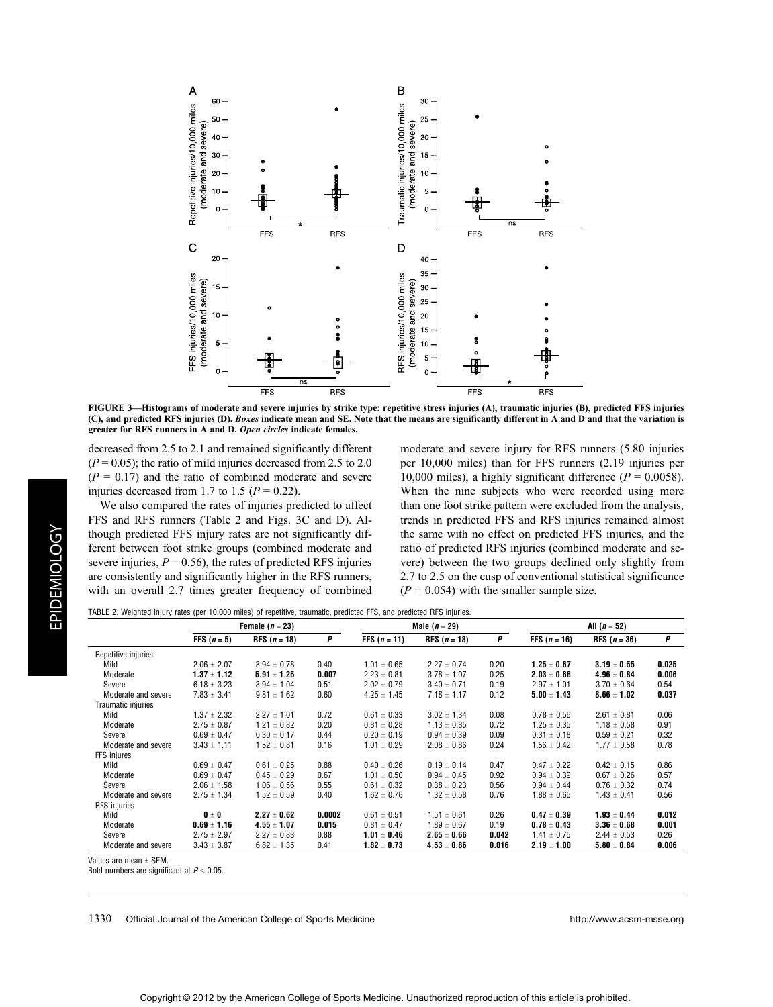

FIGURE 3—Histograms of moderate and severe injuries by strike type: repetitive stress injuries (A), traumatic injuries (B), predicted FFS injuries (C), and predicted RFS injuries (D). Boxes indicate mean and SE. Note that the means are significantly different in A and D and that the variation is greater for RFS runners in A and D. Open circles indicate females.

decreased from 2.5 to 2.1 and remained significantly different  $(P = 0.05)$ ; the ratio of mild injuries decreased from 2.5 to 2.0  $(P = 0.17)$  and the ratio of combined moderate and severe injuries decreased from 1.7 to 1.5 ( $P = 0.22$ ).

We also compared the rates of injuries predicted to affect FFS and RFS runners (Table 2 and Figs. 3C and D). Although predicted FFS injury rates are not significantly different between foot strike groups (combined moderate and severe injuries,  $P = 0.56$ , the rates of predicted RFS injuries are consistently and significantly higher in the RFS runners, with an overall 2.7 times greater frequency of combined

moderate and severe injury for RFS runners (5.80 injuries per 10,000 miles) than for FFS runners (2.19 injuries per 10,000 miles), a highly significant difference ( $P = 0.0058$ ). When the nine subjects who were recorded using more than one foot strike pattern were excluded from the analysis, trends in predicted FFS and RFS injuries remained almost the same with no effect on predicted FFS injuries, and the ratio of predicted RFS injuries (combined moderate and severe) between the two groups declined only slightly from 2.7 to 2.5 on the cusp of conventional statistical significance  $(P = 0.054)$  with the smaller sample size.

TABLE 2. Weighted injury rates (per 10,000 miles) of repetitive, traumatic, predicted FFS, and predicted RFS injuries.

|                     | Female $(n = 23)$    |                 |        | Male $(n = 29)$ |                 |       | All $(n = 52)$  |                 |       |
|---------------------|----------------------|-----------------|--------|-----------------|-----------------|-------|-----------------|-----------------|-------|
|                     | <b>FFS</b> $(n = 5)$ | RFS $(n = 18)$  | P      | FFS $(n = 11)$  | RFS $(n = 18)$  | P     | FFS $(n = 16)$  | RFS $(n = 36)$  | P     |
| Repetitive injuries |                      |                 |        |                 |                 |       |                 |                 |       |
| Mild                | $2.06 \pm 2.07$      | $3.94 \pm 0.78$ | 0.40   | $1.01 \pm 0.65$ | $2.27 \pm 0.74$ | 0.20  | $1.25 \pm 0.67$ | $3.19 \pm 0.55$ | 0.025 |
| Moderate            | $1.37 \pm 1.12$      | $5.91 \pm 1.25$ | 0.007  | $2.23 \pm 0.81$ | $3.78 \pm 1.07$ | 0.25  | $2.03 \pm 0.66$ | $4.96 \pm 0.84$ | 0.006 |
| Severe              | $6.18 \pm 3.23$      | $3.94 \pm 1.04$ | 0.51   | $2.02 \pm 0.79$ | $3.40 \pm 0.71$ | 0.19  | $2.97 \pm 1.01$ | $3.70 \pm 0.64$ | 0.54  |
| Moderate and severe | $7.83 \pm 3.41$      | $9.81 \pm 1.62$ | 0.60   | $4.25 \pm 1.45$ | $7.18 \pm 1.17$ | 0.12  | $5.00 \pm 1.43$ | $8.66 \pm 1.02$ | 0.037 |
| Traumatic injuries  |                      |                 |        |                 |                 |       |                 |                 |       |
| Mild                | $1.37 \pm 2.32$      | $2.27 \pm 1.01$ | 0.72   | $0.61 \pm 0.33$ | $3.02 \pm 1.34$ | 0.08  | $0.78 \pm 0.56$ | $2.61 \pm 0.81$ | 0.06  |
| Moderate            | $2.75 \pm 0.87$      | $1.21 \pm 0.82$ | 0.20   | $0.81 \pm 0.28$ | $1.13 \pm 0.85$ | 0.72  | $1.25 \pm 0.35$ | $1.18 \pm 0.58$ | 0.91  |
| Severe              | $0.69 \pm 0.47$      | $0.30 \pm 0.17$ | 0.44   | $0.20 \pm 0.19$ | $0.94 \pm 0.39$ | 0.09  | $0.31 \pm 0.18$ | $0.59 \pm 0.21$ | 0.32  |
| Moderate and severe | $3.43 \pm 1.11$      | $1.52 \pm 0.81$ | 0.16   | $1.01 \pm 0.29$ | $2.08 \pm 0.86$ | 0.24  | $1.56 \pm 0.42$ | $1.77 \pm 0.58$ | 0.78  |
| FFS injures         |                      |                 |        |                 |                 |       |                 |                 |       |
| Mild                | $0.69 \pm 0.47$      | $0.61 \pm 0.25$ | 0.88   | $0.40 \pm 0.26$ | $0.19 \pm 0.14$ | 0.47  | $0.47 \pm 0.22$ | $0.42 \pm 0.15$ | 0.86  |
| Moderate            | $0.69 \pm 0.47$      | $0.45 \pm 0.29$ | 0.67   | $1.01 \pm 0.50$ | $0.94 \pm 0.45$ | 0.92  | $0.94 \pm 0.39$ | $0.67 \pm 0.26$ | 0.57  |
| Severe              | $2.06 \pm 1.58$      | $1.06 \pm 0.56$ | 0.55   | $0.61 \pm 0.32$ | $0.38 \pm 0.23$ | 0.56  | $0.94 \pm 0.44$ | $0.76 \pm 0.32$ | 0.74  |
| Moderate and severe | $2.75 \pm 1.34$      | $1.52 \pm 0.59$ | 0.40   | $1.62 \pm 0.76$ | $1.32 \pm 0.58$ | 0.76  | $1.88 \pm 0.65$ | $1.43 \pm 0.41$ | 0.56  |
| <b>RFS</b> injuries |                      |                 |        |                 |                 |       |                 |                 |       |
| Mild                | $0 \pm 0$            | $2.27 \pm 0.62$ | 0.0002 | $0.61 \pm 0.51$ | $1.51 \pm 0.61$ | 0.26  | $0.47 \pm 0.39$ | $1.93 \pm 0.44$ | 0.012 |
| Moderate            | $0.69 \pm 1.16$      | $4.55 \pm 1.07$ | 0.015  | $0.81 \pm 0.47$ | $1.89 \pm 0.67$ | 0.19  | $0.78 \pm 0.43$ | $3.36 \pm 0.68$ | 0.001 |
| Severe              | $2.75 \pm 2.97$      | $2.27 \pm 0.83$ | 0.88   | $1.01 \pm 0.46$ | $2.65 \pm 0.66$ | 0.042 | $1.41 \pm 0.75$ | $2.44 \pm 0.53$ | 0.26  |
| Moderate and severe | $3.43 \pm 3.87$      | $6.82 \pm 1.35$ | 0.41   | $1.82 \pm 0.73$ | $4.53 \pm 0.86$ | 0.016 | $2.19 \pm 1.00$ | $5.80 \pm 0.84$ | 0.006 |

Values are mean  $+$  SFM.

Bold numbers are significant at  $P < 0.05$ .

1330 Official Journal of the American College of Sports Medicine http://www.acsm-msse.org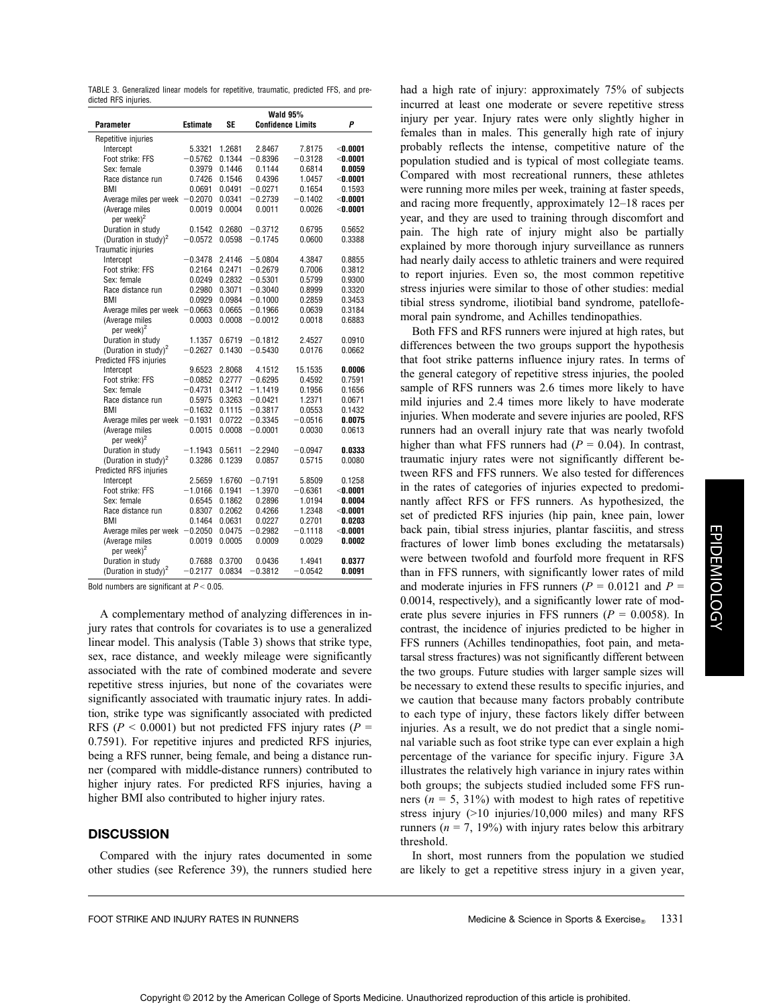TABLE 3. Generalized linear models for repetitive, traumatic, predicted FFS, and predicted RFS injuries.

|                                          |                 |        | <b>Wald 95%</b>          |           |                 |  |
|------------------------------------------|-----------------|--------|--------------------------|-----------|-----------------|--|
| <b>Parameter</b>                         | <b>Estimate</b> | SF     | <b>Confidence Limits</b> |           | P               |  |
| Repetitive injuries                      |                 |        |                          |           |                 |  |
| Intercept                                | 5.3321          | 1.2681 | 2.8467                   | 7.8175    | $<$ 0.0001      |  |
| Foot strike: FFS                         | $-0.5762$       | 0.1344 | $-0.8396$                | $-0.3128$ | $<$ 0.0001      |  |
| Sex: female                              | 0.3979          | 0.1446 | 0.1144                   | 0.6814    | 0.0059          |  |
| Race distance run                        | 0.7426          | 0.1546 | 0.4396                   | 1.0457    | $<$ 0.0001      |  |
| BMI                                      | 0.0691          | 0.0491 | $-0.0271$                | 0.1654    | 0.1593          |  |
| Average miles per week                   | $-0.2070$       | 0.0341 | $-0.2739$                | $-0.1402$ | $<$ 0.0001 $-$  |  |
| (Average miles<br>per week) <sup>2</sup> | 0.0019          | 0.0004 | 0.0011                   | 0.0026    | $<$ 0.0001 $-$  |  |
| Duration in study                        | 0.1542          | 0.2680 | $-0.3712$                | 0.6795    | 0.5652          |  |
| (Duration in study) <sup>2</sup>         | $-0.0572$       | 0.0598 | $-0.1745$                | 0.0600    | 0.3388          |  |
| Traumatic injuries                       |                 |        |                          |           |                 |  |
| Intercept                                | $-0.3478$       | 2.4146 | $-5.0804$                | 4.3847    | 0.8855          |  |
| Foot strike: FFS                         | 0.2164          | 0.2471 | $-0.2679$                | 0.7006    | 0.3812          |  |
| Sex: female                              | 0.0249          | 0.2832 | $-0.5301$                | 0.5799    | 0.9300          |  |
| Race distance run                        | 0.2980          | 0.3071 | $-0.3040$                | 0.8999    | 0.3320          |  |
| BMI                                      | 0.0929          | 0.0984 | $-0.1000$                | 0.2859    | 0.3453          |  |
| Average miles per week                   | $-0.0663$       | 0.0665 | $-0.1966$                | 0.0639    | 0.3184          |  |
| (Average miles<br>per week) <sup>2</sup> | 0.0003          | 0.0008 | $-0.0012$                | 0.0018    | 0.6883          |  |
| Duration in study                        | 1.1357          | 0.6719 | $-0.1812$                | 2.4527    | 0.0910          |  |
| (Duration in study) <sup>2</sup>         | $-0.2627$       | 0.1430 | $-0.5430$                | 0.0176    | 0.0662          |  |
| Predicted FFS injuries                   |                 |        |                          |           |                 |  |
| Intercept                                | 9.6523          | 2.8068 | 4.1512                   | 15.1535   | 0.0006          |  |
| Foot strike: FFS                         | $-0.0852$       | 0.2777 | $-0.6295$                | 0.4592    | 0.7591          |  |
| Sex: female                              | $-0.4731$       | 0.3412 | $-1.1419$                | 0.1956    | 0.1656          |  |
| Race distance run                        | 0.5975          | 0.3263 | $-0.0421$                | 1.2371    | 0.0671          |  |
| BMI                                      | $-0.1632$       | 0.1115 | $-0.3817$                | 0.0553    | 0.1432          |  |
| Average miles per week                   | $-0.1931$       | 0.0722 | $-0.3345$                | $-0.0516$ | 0.0075          |  |
| (Average miles<br>per week) <sup>2</sup> | 0.0015          | 0.0008 | $-0.0001$                | 0.0030    | 0.0613          |  |
| Duration in study                        | $-1.1943$       | 0.5611 | $-2.2940$                | $-0.0947$ | 0.0333          |  |
| (Duration in study) <sup>2</sup>         | 0.3286          | 0.1239 | 0.0857                   | 0.5715    | 0.0080          |  |
| Predicted RFS injuries                   |                 |        |                          |           |                 |  |
| Intercept                                | 2.5659          | 1.6760 | $-0.7191$                | 5.8509    | 0.1258          |  |
| Foot strike: FFS                         | $-1.0166$       | 0.1941 | $-1.3970$                | $-0.6361$ | $<$ 0.0001 $-$  |  |
| Sex: female                              | 0.6545          | 0.1862 | 0.2896                   | 1.0194    | 0.0004          |  |
| Race distance run                        | 0.8307          | 0.2062 | 0.4266                   | 1.2348    | $<$ 0.0001 $\,$ |  |
| BMI                                      | 0.1464          | 0.0631 | 0.0227                   | 0.2701    | 0.0203          |  |
| Average miles per week $-0.2050$         |                 | 0.0475 | $-0.2982$                | $-0.1118$ | $<$ 0.0001 $\,$ |  |
| (Average miles<br>per week) <sup>2</sup> | 0.0019          | 0.0005 | 0.0009                   | 0.0029    | 0.0002          |  |
| Duration in study                        | 0.7688          | 0.3700 | 0.0436                   | 1.4941    | 0.0377          |  |
| (Duration in study) <sup>2</sup>         | $-0.2177$       | 0.0834 | $-0.3812$                | $-0.0542$ | 0.0091          |  |
|                                          |                 |        |                          |           |                 |  |

Bold numbers are significant at  $P < 0.05$ .

A complementary method of analyzing differences in injury rates that controls for covariates is to use a generalized linear model. This analysis (Table 3) shows that strike type, sex, race distance, and weekly mileage were significantly associated with the rate of combined moderate and severe repetitive stress injuries, but none of the covariates were significantly associated with traumatic injury rates. In addition, strike type was significantly associated with predicted RFS ( $P < 0.0001$ ) but not predicted FFS injury rates ( $P =$ 0.7591). For repetitive injures and predicted RFS injuries, being a RFS runner, being female, and being a distance runner (compared with middle-distance runners) contributed to higher injury rates. For predicted RFS injuries, having a higher BMI also contributed to higher injury rates.

## **DISCUSSION**

Compared with the injury rates documented in some other studies (see Reference 39), the runners studied here had a high rate of injury: approximately 75% of subjects incurred at least one moderate or severe repetitive stress injury per year. Injury rates were only slightly higher in females than in males. This generally high rate of injury probably reflects the intense, competitive nature of the population studied and is typical of most collegiate teams. Compared with most recreational runners, these athletes were running more miles per week, training at faster speeds, and racing more frequently, approximately 12–18 races per year, and they are used to training through discomfort and pain. The high rate of injury might also be partially explained by more thorough injury surveillance as runners had nearly daily access to athletic trainers and were required to report injuries. Even so, the most common repetitive stress injuries were similar to those of other studies: medial tibial stress syndrome, iliotibial band syndrome, patellofemoral pain syndrome, and Achilles tendinopathies.

Both FFS and RFS runners were injured at high rates, but differences between the two groups support the hypothesis that foot strike patterns influence injury rates. In terms of the general category of repetitive stress injuries, the pooled sample of RFS runners was 2.6 times more likely to have mild injuries and 2.4 times more likely to have moderate injuries. When moderate and severe injuries are pooled, RFS runners had an overall injury rate that was nearly twofold higher than what FFS runners had  $(P = 0.04)$ . In contrast, traumatic injury rates were not significantly different between RFS and FFS runners. We also tested for differences in the rates of categories of injuries expected to predominantly affect RFS or FFS runners. As hypothesized, the set of predicted RFS injuries (hip pain, knee pain, lower back pain, tibial stress injuries, plantar fasciitis, and stress fractures of lower limb bones excluding the metatarsals) were between twofold and fourfold more frequent in RFS than in FFS runners, with significantly lower rates of mild and moderate injuries in FFS runners ( $P = 0.0121$  and  $P =$ 0.0014, respectively), and a significantly lower rate of moderate plus severe injuries in FFS runners ( $P = 0.0058$ ). In contrast, the incidence of injuries predicted to be higher in FFS runners (Achilles tendinopathies, foot pain, and metatarsal stress fractures) was not significantly different between the two groups. Future studies with larger sample sizes will be necessary to extend these results to specific injuries, and we caution that because many factors probably contribute to each type of injury, these factors likely differ between injuries. As a result, we do not predict that a single nominal variable such as foot strike type can ever explain a high percentage of the variance for specific injury. Figure 3A illustrates the relatively high variance in injury rates within both groups; the subjects studied included some FFS runners ( $n = 5$ , 31%) with modest to high rates of repetitive stress injury (>10 injuries/10,000 miles) and many RFS runners ( $n = 7$ , 19%) with injury rates below this arbitrary threshold.

In short, most runners from the population we studied are likely to get a repetitive stress injury in a given year,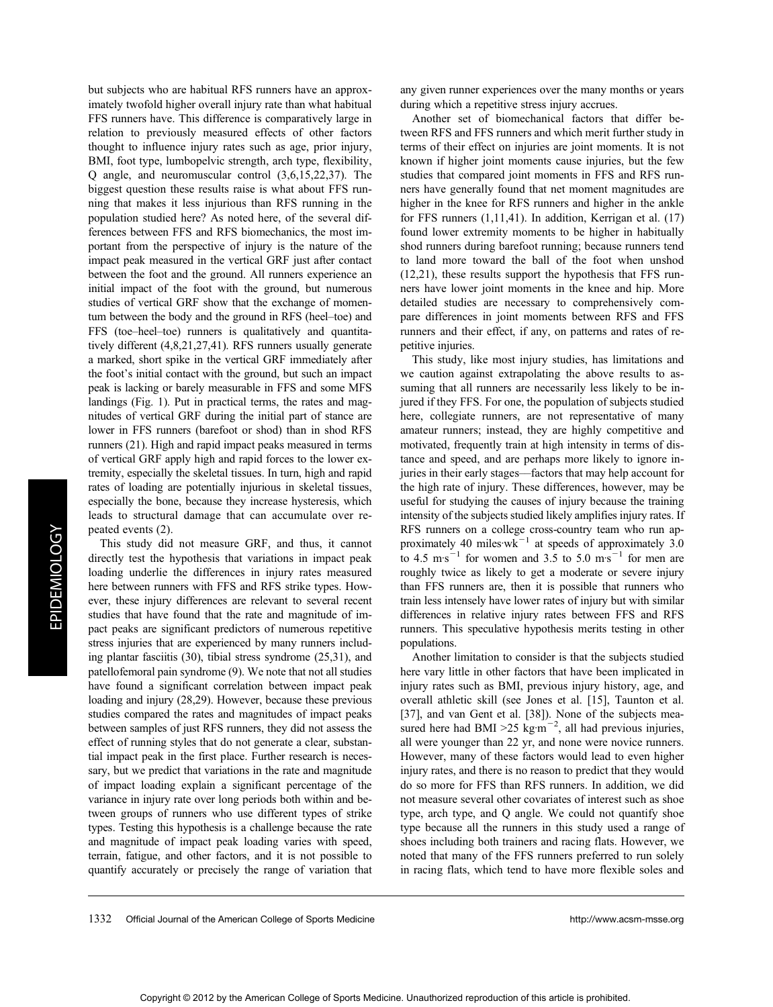**EPIDEMIOLOGY** EPIDEMIOLOGY

Copyright © 2012 by the American College of Sports Medicine. Unauthorized reproduction of this article is prohibited.

but subjects who are habitual RFS runners have an approximately twofold higher overall injury rate than what habitual FFS runners have. This difference is comparatively large in relation to previously measured effects of other factors thought to influence injury rates such as age, prior injury, BMI, foot type, lumbopelvic strength, arch type, flexibility, Q angle, and neuromuscular control (3,6,15,22,37). The biggest question these results raise is what about FFS running that makes it less injurious than RFS running in the population studied here? As noted here, of the several differences between FFS and RFS biomechanics, the most important from the perspective of injury is the nature of the impact peak measured in the vertical GRF just after contact between the foot and the ground. All runners experience an initial impact of the foot with the ground, but numerous studies of vertical GRF show that the exchange of momentum between the body and the ground in RFS (heel–toe) and FFS (toe–heel–toe) runners is qualitatively and quantitatively different (4,8,21,27,41). RFS runners usually generate a marked, short spike in the vertical GRF immediately after the foot's initial contact with the ground, but such an impact peak is lacking or barely measurable in FFS and some MFS landings (Fig. 1). Put in practical terms, the rates and magnitudes of vertical GRF during the initial part of stance are lower in FFS runners (barefoot or shod) than in shod RFS runners (21). High and rapid impact peaks measured in terms of vertical GRF apply high and rapid forces to the lower extremity, especially the skeletal tissues. In turn, high and rapid rates of loading are potentially injurious in skeletal tissues, especially the bone, because they increase hysteresis, which leads to structural damage that can accumulate over repeated events (2).

This study did not measure GRF, and thus, it cannot directly test the hypothesis that variations in impact peak loading underlie the differences in injury rates measured here between runners with FFS and RFS strike types. However, these injury differences are relevant to several recent studies that have found that the rate and magnitude of impact peaks are significant predictors of numerous repetitive stress injuries that are experienced by many runners including plantar fasciitis (30), tibial stress syndrome (25,31), and patellofemoral pain syndrome (9). We note that not all studies have found a significant correlation between impact peak loading and injury (28,29). However, because these previous studies compared the rates and magnitudes of impact peaks between samples of just RFS runners, they did not assess the effect of running styles that do not generate a clear, substantial impact peak in the first place. Further research is necessary, but we predict that variations in the rate and magnitude of impact loading explain a significant percentage of the variance in injury rate over long periods both within and between groups of runners who use different types of strike types. Testing this hypothesis is a challenge because the rate and magnitude of impact peak loading varies with speed, terrain, fatigue, and other factors, and it is not possible to quantify accurately or precisely the range of variation that any given runner experiences over the many months or years during which a repetitive stress injury accrues.

Another set of biomechanical factors that differ between RFS and FFS runners and which merit further study in terms of their effect on injuries are joint moments. It is not known if higher joint moments cause injuries, but the few studies that compared joint moments in FFS and RFS runners have generally found that net moment magnitudes are higher in the knee for RFS runners and higher in the ankle for FFS runners (1,11,41). In addition, Kerrigan et al. (17) found lower extremity moments to be higher in habitually shod runners during barefoot running; because runners tend to land more toward the ball of the foot when unshod (12,21), these results support the hypothesis that FFS runners have lower joint moments in the knee and hip. More detailed studies are necessary to comprehensively compare differences in joint moments between RFS and FFS runners and their effect, if any, on patterns and rates of repetitive injuries.

This study, like most injury studies, has limitations and we caution against extrapolating the above results to assuming that all runners are necessarily less likely to be injured if they FFS. For one, the population of subjects studied here, collegiate runners, are not representative of many amateur runners; instead, they are highly competitive and motivated, frequently train at high intensity in terms of distance and speed, and are perhaps more likely to ignore injuries in their early stages––factors that may help account for the high rate of injury. These differences, however, may be useful for studying the causes of injury because the training intensity of the subjects studied likely amplifies injury rates. If RFS runners on a college cross-country team who run approximately 40 miles $w_k$ <sup>-1</sup> at speeds of approximately 3.0 to 4.5 m s<sup>-1</sup> for women and 3.5 to 5.0 m s<sup>-1</sup> for men are roughly twice as likely to get a moderate or severe injury than FFS runners are, then it is possible that runners who train less intensely have lower rates of injury but with similar differences in relative injury rates between FFS and RFS runners. This speculative hypothesis merits testing in other populations.

Another limitation to consider is that the subjects studied here vary little in other factors that have been implicated in injury rates such as BMI, previous injury history, age, and overall athletic skill (see Jones et al. [15], Taunton et al. [37], and van Gent et al. [38]). None of the subjects measured here had BMI > 25 kg $\rm m^{-2}$ , all had previous injuries, all were younger than 22 yr, and none were novice runners. However, many of these factors would lead to even higher injury rates, and there is no reason to predict that they would do so more for FFS than RFS runners. In addition, we did not measure several other covariates of interest such as shoe type, arch type, and Q angle. We could not quantify shoe type because all the runners in this study used a range of shoes including both trainers and racing flats. However, we noted that many of the FFS runners preferred to run solely in racing flats, which tend to have more flexible soles and

1332 Official Journal of the American College of Sports Medicine http://www.acsm-msse.org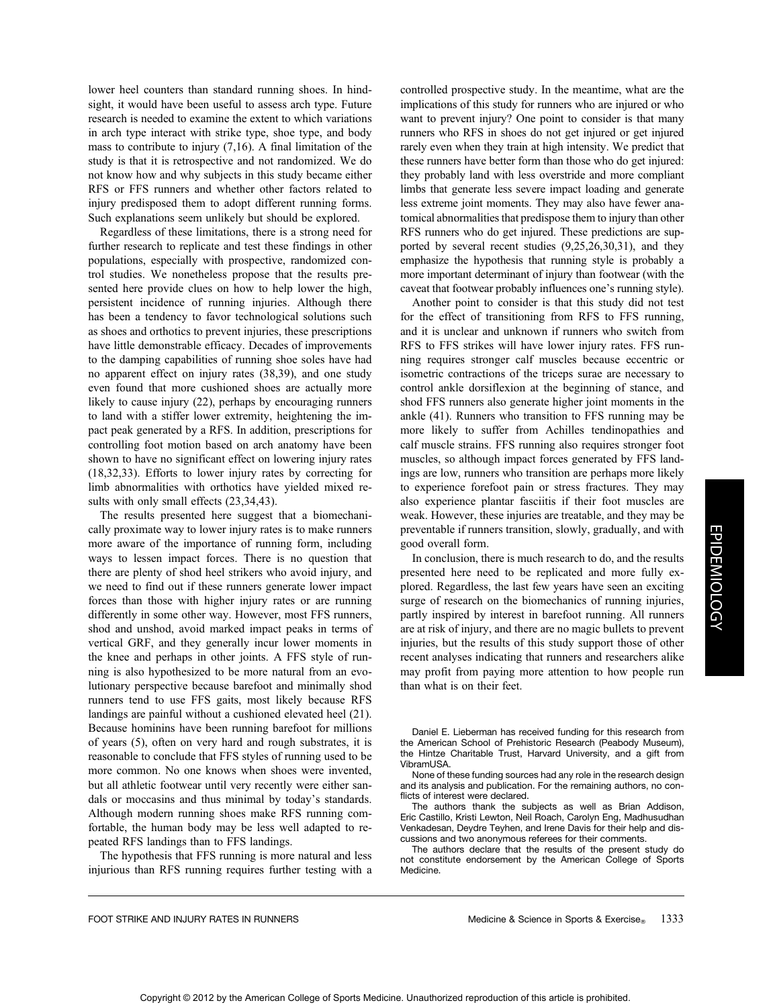lower heel counters than standard running shoes. In hindsight, it would have been useful to assess arch type. Future research is needed to examine the extent to which variations in arch type interact with strike type, shoe type, and body mass to contribute to injury (7,16). A final limitation of the study is that it is retrospective and not randomized. We do not know how and why subjects in this study became either RFS or FFS runners and whether other factors related to injury predisposed them to adopt different running forms. Such explanations seem unlikely but should be explored.

Regardless of these limitations, there is a strong need for further research to replicate and test these findings in other populations, especially with prospective, randomized control studies. We nonetheless propose that the results presented here provide clues on how to help lower the high, persistent incidence of running injuries. Although there has been a tendency to favor technological solutions such as shoes and orthotics to prevent injuries, these prescriptions have little demonstrable efficacy. Decades of improvements to the damping capabilities of running shoe soles have had no apparent effect on injury rates (38,39), and one study even found that more cushioned shoes are actually more likely to cause injury (22), perhaps by encouraging runners to land with a stiffer lower extremity, heightening the impact peak generated by a RFS. In addition, prescriptions for controlling foot motion based on arch anatomy have been shown to have no significant effect on lowering injury rates (18,32,33). Efforts to lower injury rates by correcting for limb abnormalities with orthotics have yielded mixed results with only small effects (23,34,43).

The results presented here suggest that a biomechanically proximate way to lower injury rates is to make runners more aware of the importance of running form, including ways to lessen impact forces. There is no question that there are plenty of shod heel strikers who avoid injury, and we need to find out if these runners generate lower impact forces than those with higher injury rates or are running differently in some other way. However, most FFS runners, shod and unshod, avoid marked impact peaks in terms of vertical GRF, and they generally incur lower moments in the knee and perhaps in other joints. A FFS style of running is also hypothesized to be more natural from an evolutionary perspective because barefoot and minimally shod runners tend to use FFS gaits, most likely because RFS landings are painful without a cushioned elevated heel (21). Because hominins have been running barefoot for millions of years (5), often on very hard and rough substrates, it is reasonable to conclude that FFS styles of running used to be more common. No one knows when shoes were invented, but all athletic footwear until very recently were either sandals or moccasins and thus minimal by today's standards. Although modern running shoes make RFS running comfortable, the human body may be less well adapted to repeated RFS landings than to FFS landings.

The hypothesis that FFS running is more natural and less injurious than RFS running requires further testing with a controlled prospective study. In the meantime, what are the implications of this study for runners who are injured or who want to prevent injury? One point to consider is that many runners who RFS in shoes do not get injured or get injured rarely even when they train at high intensity. We predict that these runners have better form than those who do get injured: they probably land with less overstride and more compliant limbs that generate less severe impact loading and generate less extreme joint moments. They may also have fewer anatomical abnormalities that predispose them to injury than other RFS runners who do get injured. These predictions are supported by several recent studies (9,25,26,30,31), and they emphasize the hypothesis that running style is probably a more important determinant of injury than footwear (with the caveat that footwear probably influences one's running style).

Another point to consider is that this study did not test for the effect of transitioning from RFS to FFS running, and it is unclear and unknown if runners who switch from RFS to FFS strikes will have lower injury rates. FFS running requires stronger calf muscles because eccentric or isometric contractions of the triceps surae are necessary to control ankle dorsiflexion at the beginning of stance, and shod FFS runners also generate higher joint moments in the ankle (41). Runners who transition to FFS running may be more likely to suffer from Achilles tendinopathies and calf muscle strains. FFS running also requires stronger foot muscles, so although impact forces generated by FFS landings are low, runners who transition are perhaps more likely to experience forefoot pain or stress fractures. They may also experience plantar fasciitis if their foot muscles are weak. However, these injuries are treatable, and they may be preventable if runners transition, slowly, gradually, and with good overall form.

In conclusion, there is much research to do, and the results presented here need to be replicated and more fully explored. Regardless, the last few years have seen an exciting surge of research on the biomechanics of running injuries, partly inspired by interest in barefoot running. All runners are at risk of injury, and there are no magic bullets to prevent injuries, but the results of this study support those of other recent analyses indicating that runners and researchers alike may profit from paying more attention to how people run than what is on their feet.

Daniel E. Lieberman has received funding for this research from the American School of Prehistoric Research (Peabody Museum), the Hintze Charitable Trust, Harvard University, and a gift from VibramUSA.

None of these funding sources had any role in the research design and its analysis and publication. For the remaining authors, no conflicts of interest were declared.

The authors thank the subjects as well as Brian Addison, Eric Castillo, Kristi Lewton, Neil Roach, Carolyn Eng, Madhusudhan Venkadesan, Deydre Teyhen, and Irene Davis for their help and discussions and two anonymous referees for their comments.

The authors declare that the results of the present study do not constitute endorsement by the American College of Sports Medicine.